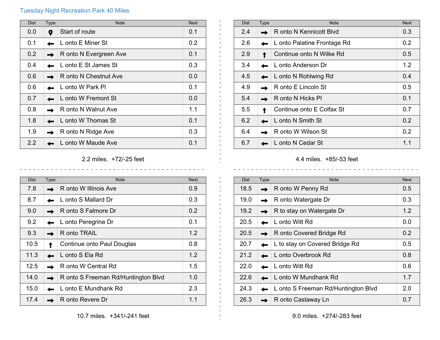## Tuesday Night Recreation Park 40 Miles

| <b>Dist</b> | <b>Type</b> | <b>Note</b>            | <b>Next</b> |
|-------------|-------------|------------------------|-------------|
| 0.0         | 9           | Start of route         | 0.1         |
| 0.1         |             | L onto E Miner St      | 0.2         |
| 0.2         |             | R onto N Evergreen Ave | 0.1         |
| 0.4         |             | L onto E St James St   | 0.3         |
| 0.6         |             | R onto N Chestnut Ave  | 0.0         |
| 0.6         |             | L onto W Park Pl       | 0.1         |
| 0.7         |             | L onto W Fremont St    | 0.0         |
| 0.8         |             | R onto N Walnut Ave    | 1.1         |
| 1.8         |             | L onto W Thomas St     | 0.1         |
| 1.9         |             | R onto N Ridge Ave     | 0.3         |
| 2.2         |             | L onto W Maude Ave     | 0.1         |

## 2.2 miles. +72/-25 feet

 $\frac{1}{2}$ 

 $\frac{1}{2}$ 

 $- - - - - - - -$ 

| <b>Dist</b> | <b>Type</b> | <b>Note</b>                         | <b>Next</b> |
|-------------|-------------|-------------------------------------|-------------|
| 7.8         |             | R onto W Illinois Ave               | 0.9         |
| 8.7         |             | L onto S Mallard Dr                 | 0.3         |
| 9.0         |             | R onto S Falmore Dr                 | 0.2         |
| 9.2         |             | L onto Peregrine Dr                 | 0.1         |
| 9.3         |             | R onto TRAIL                        | 1.2         |
| 10.5        |             | Continue onto Paul Douglas          | 0.8         |
| 11.3        |             | L onto S Ela Rd                     | 1.2         |
| 12.5        |             | R onto W Central Rd                 | 1.5         |
| 14.0        |             | R onto S Freeman Rd/Huntington Blvd | 1.0         |
| 15.0        |             | L onto E Mundhank Rd                | 2.3         |
| 17.4        |             | R onto Revere Dr                    | 1.1         |

| <b>Dist</b> | Type | <b>Note</b>                 | <b>Next</b> |
|-------------|------|-----------------------------|-------------|
| 2.4         |      | R onto N Kennicott Blyd     | 0.3         |
| 2.6         |      | L onto Palatine Frontage Rd | 0.2         |
| 2.9         |      | Continue onto N Wilke Rd    | 0.5         |
| 3.4         |      | L onto Anderson Dr          | 1.2         |
| 4.5         |      | L onto N Rohlwing Rd        | 0.4         |
| 4.9         |      | R onto E Lincoln St         | 0.5         |
| 5.4         |      | R onto N Hicks Pl           | 0.1         |
| 5.5         |      | Continue onto E Colfax St   | 0.7         |
| 6.2         |      | L onto N Smith St           | 0.2         |
| 6.4         |      | R onto W Wilson St          | 0.2         |
| 6.7         |      | L onto N Cedar St           | 1.1         |

4.4 miles. +85/-53 feet

| <b>Dist</b> | Type | <b>Note</b>                         | <b>Next</b> |
|-------------|------|-------------------------------------|-------------|
| 18.5        |      | R onto W Penny Rd                   | 0.5         |
| 19.0        |      | R onto Watergate Dr                 | 0.3         |
| 19.2        |      | R to stay on Watergate Dr           | 1.2         |
| 20.5        |      | L onto Witt Rd                      | 0.0         |
| 20.5        |      | R onto Covered Bridge Rd            | 0.2         |
| 20.7        |      | L to stay on Covered Bridge Rd      | 0.5         |
| 21.2        |      | L onto Overbrook Rd                 | 0.8         |
| 22.0        |      | L onto Witt Rd                      | 0.6         |
| 22.6        |      | L onto W Mundhank Rd                | 1.7         |
| 24.3        |      | L onto S Freeman Rd/Huntington Blvd | 2.0         |
| 26.3        |      | R onto Castaway Ln                  | 0.7         |